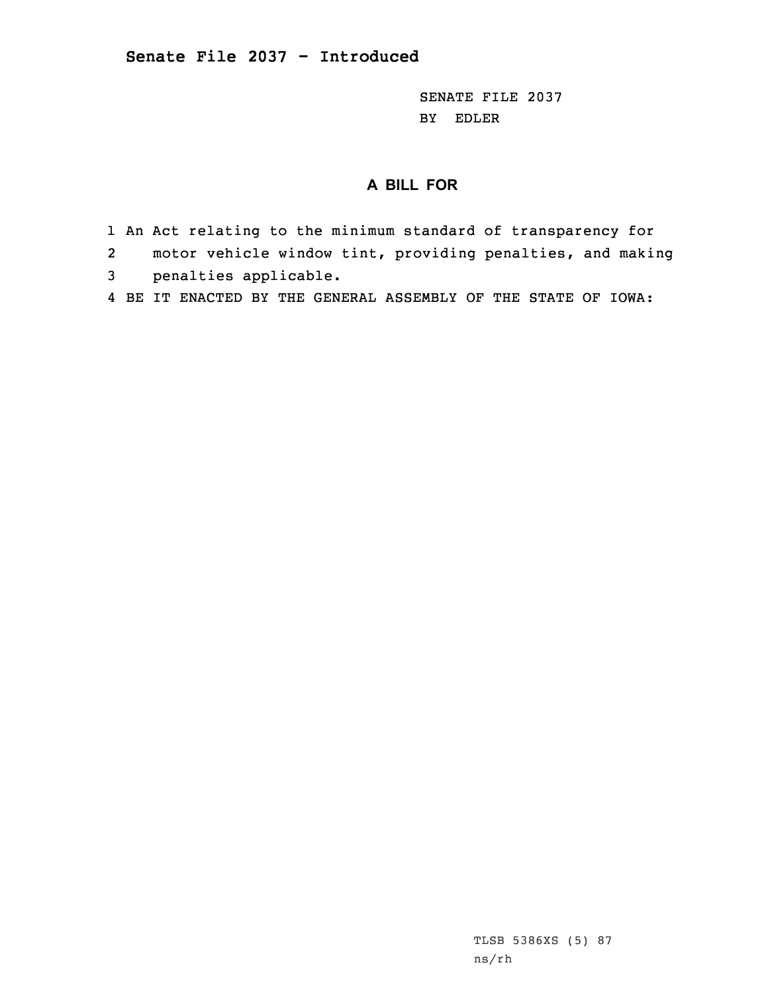SENATE FILE 2037 BY EDLER

## **A BILL FOR**

- 1 An Act relating to the minimum standard of transparency for
- 2motor vehicle window tint, providing penalties, and making
- 3 penalties applicable.
- 4 BE IT ENACTED BY THE GENERAL ASSEMBLY OF THE STATE OF IOWA: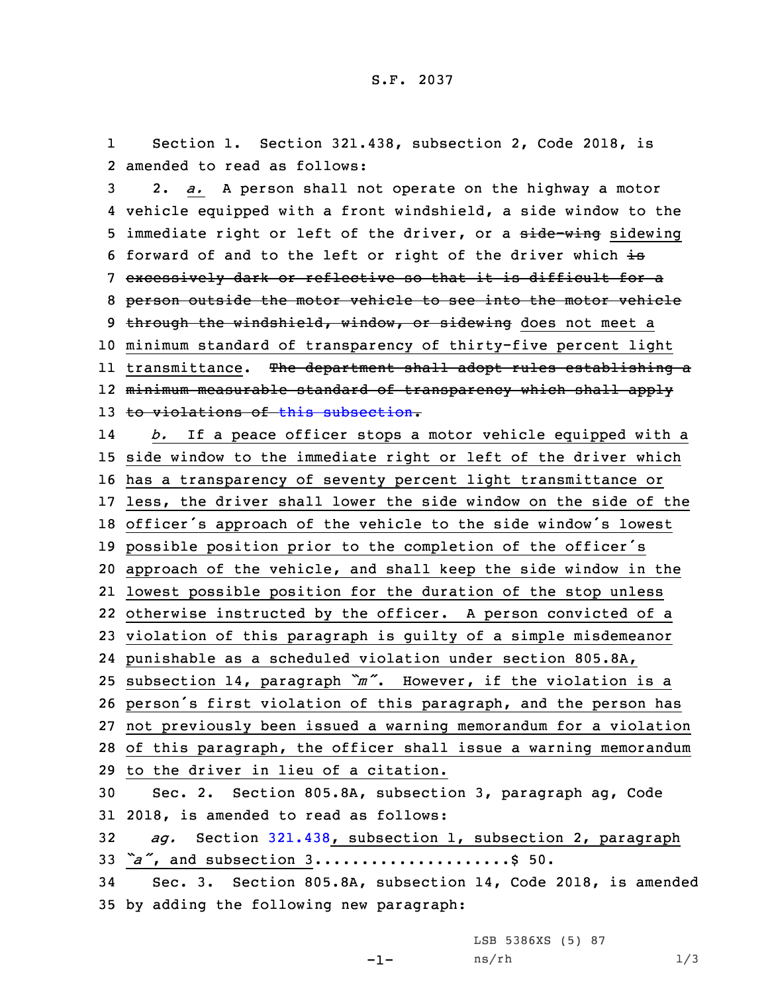1 Section 1. Section 321.438, subsection 2, Code 2018, is 2 amended to read as follows:

 2. *a.* <sup>A</sup> person shall not operate on the highway <sup>a</sup> motor vehicle equipped with <sup>a</sup> front windshield, <sup>a</sup> side window to the 5 immediate right or left of the driver, or a side-wing sidewing 6 forward of and to the left or right of the driver which is excessively dark or reflective so that it is difficult for <sup>a</sup> person outside the motor vehicle to see into the motor vehicle 9 through the windshield, window, or sidewing does not meet a minimum standard of transparency of thirty-five percent light transmittance. The department shall adopt rules establishing <sup>a</sup> minimum measurable standard of transparency which shall apply 13 to violations of this [subsection](https://www.legis.iowa.gov/docs/code/2018/321.438.pdf). 14 *b.* If <sup>a</sup> peace officer stops <sup>a</sup> motor vehicle equipped with <sup>a</sup> side window to the immediate right or left of the driver which has <sup>a</sup> transparency of seventy percent light transmittance or less, the driver shall lower the side window on the side of the officer's approach of the vehicle to the side window's lowest possible position prior to the completion of the officer's approach of the vehicle, and shall keep the side window in the lowest possible position for the duration of the stop unless otherwise instructed by the officer. <sup>A</sup> person convicted of <sup>a</sup> violation of this paragraph is guilty of <sup>a</sup> simple misdemeanor punishable as <sup>a</sup> scheduled violation under section 805.8A, subsection 14, paragraph *"m"*. However, if the violation is <sup>a</sup> person's first violation of this paragraph, and the person has not previously been issued <sup>a</sup> warning memorandum for <sup>a</sup> violation of this paragraph, the officer shall issue <sup>a</sup> warning memorandum to the driver in lieu of <sup>a</sup> citation. Sec. 2. Section 805.8A, subsection 3, paragraph ag, Code 2018, is amended to read as follows: *ag.* Section [321.438](https://www.legis.iowa.gov/docs/code/2018/321.438.pdf), subsection 1, subsection 2, paragraph *"a"*, and subsection 3.....................\$ 50. Sec. 3. Section 805.8A, subsection 14, Code 2018, is amended by adding the following new paragraph:

LSB 5386XS (5) 87

```
-1-
```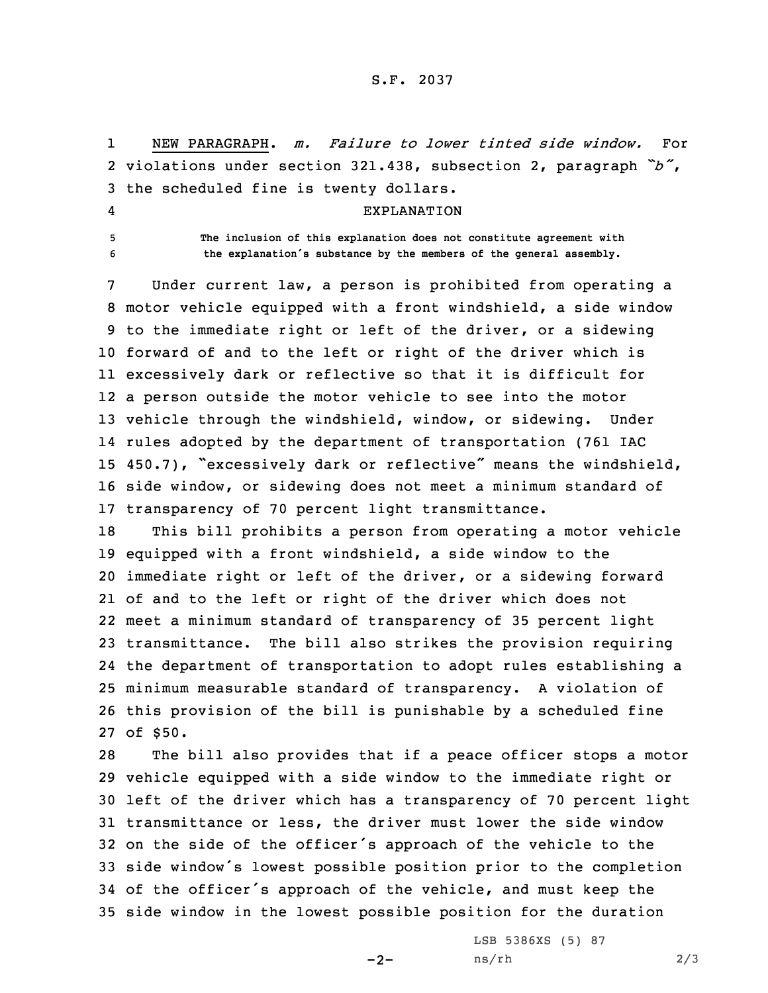## S.F. 2037

1 NEW PARAGRAPH. *m. Failure to lower tinted side window.* For 2 violations under section 321.438, subsection 2, paragraph *"b"*, 3 the scheduled fine is twenty dollars.

## EXPLANATION

4

5 **The inclusion of this explanation does not constitute agreement with** <sup>6</sup> **the explanation's substance by the members of the general assembly.**

 Under current law, <sup>a</sup> person is prohibited from operating <sup>a</sup> motor vehicle equipped with <sup>a</sup> front windshield, <sup>a</sup> side window to the immediate right or left of the driver, or <sup>a</sup> sidewing forward of and to the left or right of the driver which is excessively dark or reflective so that it is difficult for <sup>a</sup> person outside the motor vehicle to see into the motor vehicle through the windshield, window, or sidewing. Under rules adopted by the department of transportation (761 IAC 450.7), "excessively dark or reflective" means the windshield, side window, or sidewing does not meet <sup>a</sup> minimum standard of transparency of 70 percent light transmittance.

 This bill prohibits <sup>a</sup> person from operating <sup>a</sup> motor vehicle equipped with <sup>a</sup> front windshield, <sup>a</sup> side window to the immediate right or left of the driver, or <sup>a</sup> sidewing forward of and to the left or right of the driver which does not meet <sup>a</sup> minimum standard of transparency of 35 percent light transmittance. The bill also strikes the provision requiring the department of transportation to adopt rules establishing <sup>a</sup> minimum measurable standard of transparency. <sup>A</sup> violation of this provision of the bill is punishable by <sup>a</sup> scheduled fine 27 of \$50.

 The bill also provides that if <sup>a</sup> peace officer stops <sup>a</sup> motor vehicle equipped with <sup>a</sup> side window to the immediate right or left of the driver which has <sup>a</sup> transparency of 70 percent light transmittance or less, the driver must lower the side window on the side of the officer's approach of the vehicle to the side window's lowest possible position prior to the completion of the officer's approach of the vehicle, and must keep the side window in the lowest possible position for the duration

 $-2-$ 

LSB 5386XS (5) 87 ns/rh 2/3